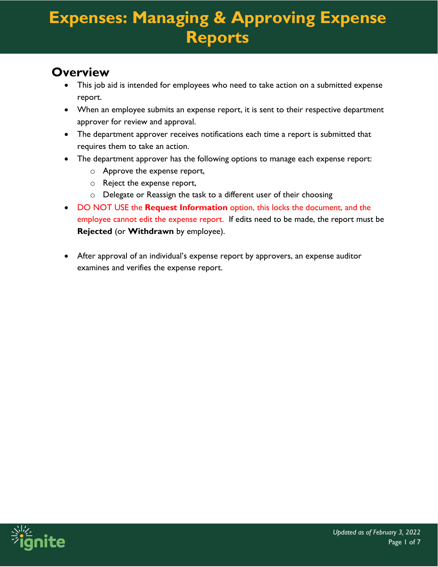#### **Overview**

- This job aid is intended for employees who need to take action on a submitted expense report.
- When an employee submits an expense report, it is sent to their respective department approver for review and approval.
- The department approver receives notifications each time a report is submitted that requires them to take an action.
- The department approver has the following options to manage each expense report:
	- o Approve the expense report,
	- o Reject the expense report,
	- o Delegate or Reassign the task to a different user of their choosing
- DO NOT USE the **Request Information** option, this locks the document, and the employee cannot edit the expense report. If edits need to be made, the report must be **Rejected** (or **Withdrawn** by employee).
- After approval of an individual's expense report by approvers, an expense auditor examines and verifies the expense report.

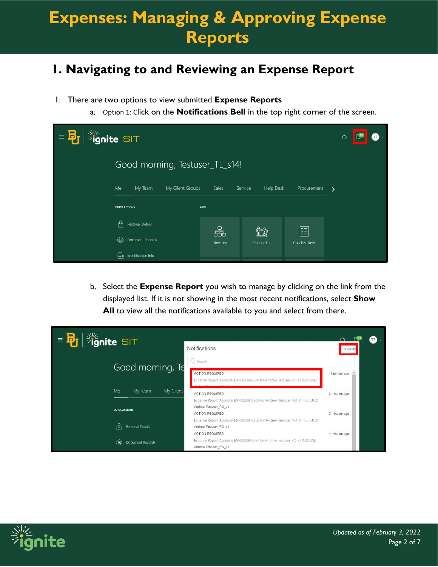#### **1. Navigating to and Reviewing an Expense Report**

- 1. There are two options to view submitted **Expense Reports**
	- a. Option 1: Click on the **Notifications Bell** in the top right corner of the screen.

| <b>Sulge SIT</b><br>$=$ $\mathbf{B}_{\mathbf{r}}$ | ⋒                                 |             |                             |                 |                       |
|---------------------------------------------------|-----------------------------------|-------------|-----------------------------|-----------------|-----------------------|
|                                                   | Good morning, Testuser_TL_s14!    |             |                             |                 |                       |
|                                                   | Me<br>My Team<br>My Client Groups | Sales       | <b>Help Desk</b><br>Service | Procurement     | $\blacktriangleright$ |
|                                                   | <b>QUICK ACTIONS</b>              | <b>APPS</b> |                             |                 |                       |
|                                                   | M<br>Personal Details             | 怖           | ĩî                          | 距               |                       |
|                                                   | Document Records<br>⊕             | Directory   | Onboarding                  | Checklist Tasks |                       |
|                                                   | L≣k<br>Identification Info        |             |                             |                 |                       |

b. Select the **Expense Report** you wish to manage by clicking on the link from the displayed list. If it is not showing in the most recent notifications, select **Show**  All to view all the notifications available to you and select from there.

| $\equiv$                                                                                            |  |
|-----------------------------------------------------------------------------------------------------|--|
| <b>Fignite SIT</b><br>Notifications<br>Show All                                                     |  |
| Q search<br>Good morning, Te                                                                        |  |
| <b>ACTION REQUIRED</b><br>1 minute ago                                                              |  |
| Expense Report Approval EXP0023945816 for Andrew Testuser_PO_s1 (1.00 USD)                          |  |
| Me<br>My Client<br>My Team<br><b>ACTION REQUIRED</b><br>2 minutes ago                               |  |
| Expense Report Approval EXP0023945809 for Andrew Testuser_PO_s1 (1.00 USD)                          |  |
| Andrew Testuser PO s1<br><b>QUICK ACTIONS</b>                                                       |  |
| <b>ACTION REQUIRED</b><br>3 minutes ago                                                             |  |
| Expense Report Approval EXP0023945802 for Andrew Testuser_PO_s1 (1.00 USD)                          |  |
| Personal Details<br>Andrew Testuser_PO_s1<br>ıд                                                     |  |
| <b>ACTION REQUIRED</b><br>4 minutes ago                                                             |  |
| Expense Report Approval EXP0023945791 for Andrew Testuser_PO_s1 (1.00 USD)<br>Document Records<br>伯 |  |
| Andrew Testuser_PO_s1                                                                               |  |

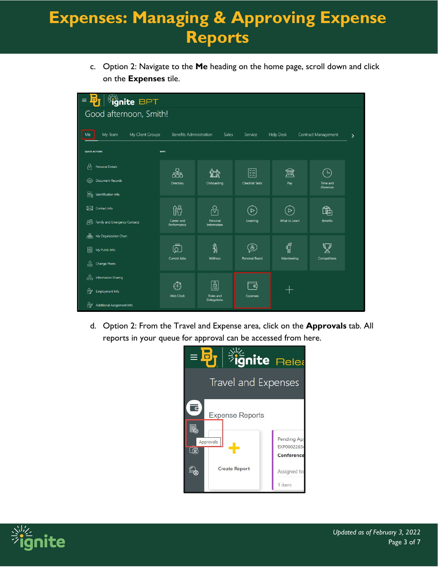c. Option 2: Navigate to the **Me** heading on the home page, scroll down and click on the **Expenses** tile.

| <b>B<sub>J</sub></b> <i>ignite</i> BPT<br>$\equiv$ |                                |                                                              |                             |                  |                            |                    |
|----------------------------------------------------|--------------------------------|--------------------------------------------------------------|-----------------------------|------------------|----------------------------|--------------------|
| Good afternoon, Smith!                             |                                |                                                              |                             |                  |                            |                    |
|                                                    |                                |                                                              |                             |                  |                            |                    |
| My Client Groups<br>My Team<br>Me                  | <b>Benefits Administration</b> | Sales                                                        | Service                     | <b>Help Desk</b> | Contract Management        | $\mathbf{\lambda}$ |
| <b>QUICK ACTIONS</b>                               | <b>APPS</b>                    |                                                              |                             |                  |                            |                    |
| ကိ<br>Personal Details                             |                                |                                                              |                             |                  |                            |                    |
| 军<br>Document Records                              | .<br>25<br>Directory           | Onboarding                                                   | ᄙ<br><b>Checklist Tasks</b> | JΦ<br>Pay        | ்ட<br>Time and<br>Absences |                    |
| l≡k<br>Identification Info                         |                                |                                                              |                             |                  |                            |                    |
| ⊠<br>Contact Info                                  | ႐ုပ္ပ                          | $\heartsuit$                                                 | $\geq$                      | ▷                | ऻॏॗऀऀ                      |                    |
| ු<br>Family and Emergency Contacts                 | Career and<br>Performance      | Personal<br>Information                                      | Learning                    | What to Learn    | <b>Benefits</b>            |                    |
| ₷<br>My Organization Chart                         |                                |                                                              |                             |                  |                            |                    |
| 圖<br>My Public Info                                | ௹                              | $\frac{2}{2}$                                                | $\mathbb{E}$                | <b>CON</b>       |                            |                    |
| ⊕<br>Change Photo                                  | Current Jobs                   | Wellness                                                     | Personal Brand              | Volunteering     | Competitions               |                    |
| ్తిం<br>Information Sharing                        |                                |                                                              |                             |                  |                            |                    |
| ₩<br>Employment Info                               | ٥<br><b>Web Clock</b>          | $\boxed{\underline{\mathbb{S}}}$<br>Roles and<br>Delegations | ධ<br>Expenses               |                  |                            |                    |
| ₩<br><b>Additional Assignment Info</b>             |                                |                                                              |                             |                  |                            |                    |

d. Option 2: From the Travel and Expense area, click on the **Approvals** tab. All reports in your queue for approval can be accessed from here.



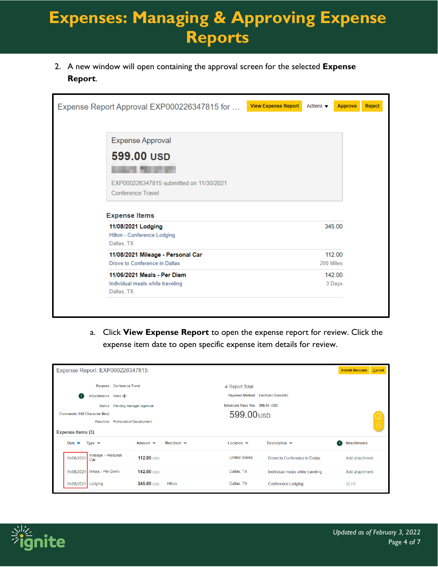2. A new window will open containing the approval screen for the selected **Expense Report**.

| Expense Report Approval EXP000226347815 for                                   | <b>View Expense Report</b> | Actions $\blacktriangledown$ | <b>Approve</b> | Reject |
|-------------------------------------------------------------------------------|----------------------------|------------------------------|----------------|--------|
| <b>Expense Approval</b>                                                       |                            |                              |                |        |
| 599.00 USD                                                                    |                            |                              |                |        |
| EXP000226347815 submitted on 11/30/2021<br>Conference Travel                  |                            |                              |                |        |
| <b>Expense Items</b>                                                          |                            |                              |                |        |
| 11/08/2021 Lodging<br>Hilton - Conference Lodging<br>Dallas, TX               |                            | 345.00                       |                |        |
| 11/08/2021 Mileage - Personal Car<br>Drove to Conference in Dallas            |                            | 112.00<br>200 Miles          |                |        |
| 11/06/2021 Meals - Per Diem<br>Individual meals while traveling<br>Dallas, TX |                            | 142.00<br>3 Days             |                |        |
|                                                                               |                            |                              |                |        |

a. Click **View Expense Report** to open the expense report for review. Click the expense item date to open specific expense item details for review.

| Expense Report: EXP000226347815                                                       |                               |                                           |                                  | <b>Submit Receipts</b>                       | Cancel                  |
|---------------------------------------------------------------------------------------|-------------------------------|-------------------------------------------|----------------------------------|----------------------------------------------|-------------------------|
| Purpose Conference Travel                                                             |                               | ▲ Report Total                            |                                  |                                              |                         |
| Attachments None<br>Ι.                                                                |                               | <b>Payment Method</b> Electronic Domestic |                                  |                                              |                         |
| Pending manager approval<br><b>Status</b>                                             |                               | Employer Pays You 599.00 USD              |                                  |                                              |                         |
| <b>Comments (150 Character Max)</b>                                                   |                               | 599.00 USD                                |                                  |                                              |                         |
| <b>Professional Development</b><br><b>Function</b>                                    |                               |                                           |                                  |                                              | $\frac{(\cdot)}{\cdot}$ |
| Expense Items (3)                                                                     |                               |                                           |                                  |                                              |                         |
| Date $\blacktriangledown$<br>Type $\blacktriangledown$<br>Amount $\blacktriangledown$ | Merchant $\blacktriangledown$ | Location $\blacktriangledown$             | Description $\blacktriangledown$ | <b>Attachments</b><br>$\left  \cdot \right $ |                         |
| Mileage - Personal<br>11/08/2021<br>112.00 USD<br>Car                                 |                               | <b>United States</b>                      | Drove to Conference in Dallas    | Add attachment                               |                         |
| 142.00 <b>USD</b><br>Meals - Per Diem<br>11/06/2021                                   |                               | Dallas, TX                                | Individual meals while traveling | Add attachment                               |                         |
| 345.00 USD<br>11/08/2021<br>Lodging                                                   | Hilton                        | Dallas, TX                                | Conference Lodging               | $\equiv$ (1)                                 |                         |

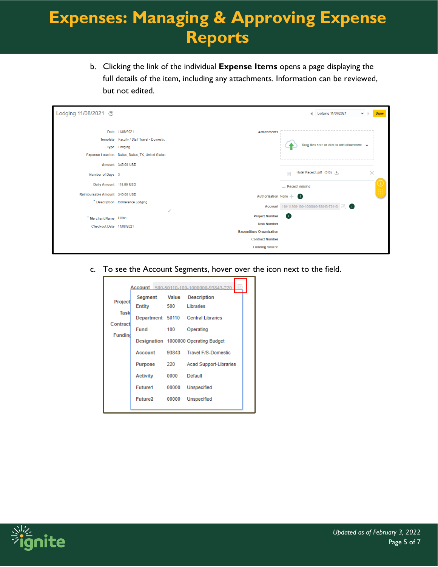b. Clicking the link of the individual **Expense Items** opens a page displaying the full details of the item, including any attachments. Information can be reviewed, but not edited.

| Lodging 11/08/2021 2           |                                                                                                                                                          |                                 | Lodging 11/06/2021<br>∢<br>Done<br>$\checkmark$<br>-                                              |
|--------------------------------|----------------------------------------------------------------------------------------------------------------------------------------------------------|---------------------------------|---------------------------------------------------------------------------------------------------|
| Number of Days 3               | Date 11/08/2021<br>Template Faculty / Staff Travel - Domestic<br>Type Lodging<br>Expense Location Dallas, Dallas, TX, United States<br>Amount 345,00 USD | <b>Attachments</b>              | Drag files here or click to add attachment v<br>$\times$<br>Hotel Receipt.pdf (0 B) 上<br>$\equiv$ |
| Daily Amount 115.00 USD        |                                                                                                                                                          |                                 | - Receipt missing                                                                                 |
| Reimbursable Amount 345.00 USD |                                                                                                                                                          | Authorization None -            | $\left( i\right)$                                                                                 |
|                                | * Description Conference Lodging<br>4                                                                                                                    |                                 | $\bullet$<br>EQ.<br>Account 110-11300-100-1000000-93843-701-00                                    |
| * Merchant Name Hilton         |                                                                                                                                                          | <b>Project Number</b>           | $\bullet$                                                                                         |
| Checkout Date 11/08/2021       |                                                                                                                                                          | <b>Task Number</b>              |                                                                                                   |
|                                |                                                                                                                                                          | <b>Expenditure Organization</b> |                                                                                                   |
|                                |                                                                                                                                                          | <b>Contract Number</b>          |                                                                                                   |
|                                |                                                                                                                                                          | <b>Funding Source</b>           |                                                                                                   |

c. To see the Account Segments, hover over the icon next to the field.

|                            |                            |              | Account 500-50110-100-1000000-93843-220                           |
|----------------------------|----------------------------|--------------|-------------------------------------------------------------------|
| Project<br><b>Task</b>     | Segment<br>Entity          | Value<br>500 | <b>Description</b><br>Libraries                                   |
| Contract<br><b>Fundind</b> | <b>Fund</b>                | 100          | Department 50110 Central Libraries<br>Operating                   |
|                            | Account                    |              | Designation 1000000 Operating Budget<br>93843 Travel F/S-Domestic |
|                            | Purpose<br><b>Activity</b> | 220<br>0000  | <b>Acad Support-Libraries</b><br>Default                          |
|                            | Future1                    | 00000        | Unspecified                                                       |
|                            | Future2                    | 00000        | <b>Unspecified</b>                                                |

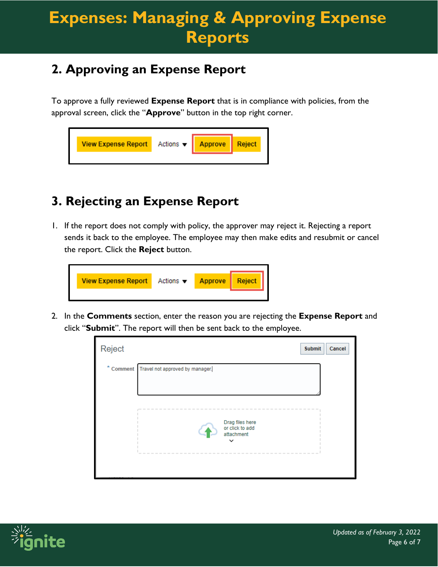### **2. Approving an Expense Report**

To approve a fully reviewed **Expense Report** that is in compliance with policies, from the approval screen, click the "**Approve**" button in the top right corner.

| <b>View Expense Report</b> | Actions $\mathbf{v}$ | <b>Approve</b> | Reject |  |
|----------------------------|----------------------|----------------|--------|--|
|                            |                      |                |        |  |

### **3. Rejecting an Expense Report**

1. If the report does not comply with policy, the approver may reject it. Rejecting a report sends it back to the employee. The employee may then make edits and resubmit or cancel the report. Click the **Reject** button.

| <b>View Expense Report</b> | Actions $\blacktriangledown$ | <b>Approve</b> | Reject |
|----------------------------|------------------------------|----------------|--------|
|                            |                              |                |        |

2. In the **Comments** section, enter the reason you are rejecting the **Expense Report** and click "**Submit**". The report will then be sent back to the employee.

| Reject | <b>Submit</b><br>Cancel                   |  |
|--------|-------------------------------------------|--|
|        | * Comment Travel not approved by manager. |  |
|        |                                           |  |
|        |                                           |  |
|        | ---------                                 |  |
|        | Drag files here<br>or click to add        |  |
|        | attachment                                |  |
|        |                                           |  |
|        |                                           |  |